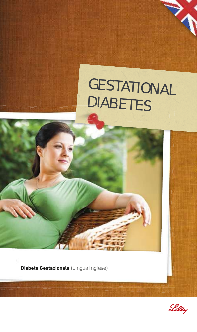

**Diabete Gestazionale** (Lingua Inglese)

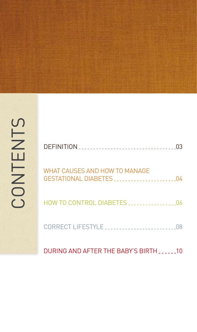

| WHAT CAUSES AND HOW TO MANAGE<br>GESTATIONAL DIARETES 04 |  |
|----------------------------------------------------------|--|
|                                                          |  |
| CORRECT LIFESTYLE                                        |  |

DURING AND AFTER THE BABY'S BIRTH ......10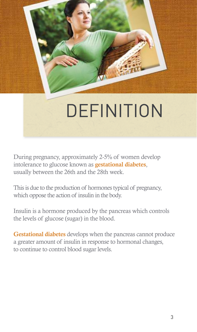

# **DEFINITION**

During pregnancy, approximately 2-5% of women develop intolerance to glucose known as gestational diabetes, usually between the 26th and the 28th week.

This is due to the production of hormones typical of pregnancy, which oppose the action of insulin in the body.

Insulin is a hormone produced by the pancreas which controls the levels of glucose (sugar) in the blood.

Gestational diabetes develops when the pancreas cannot produce a greater amount of insulin in response to hormonal changes, to continue to control blood sugar levels.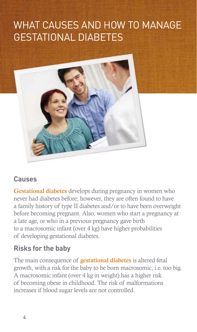# WHAT CAUSES AND HOW TO MANAGE GESTATIONAL DIABETES



#### **Causes**

Gestational diabetes develops during pregnancy in women who never had diabetes before; however, they are often found to have a family history of type II diabetes and/or to have been overweight before becoming pregnant. Also, women who start a pregnancy at a late age, or who in a previous pregnancy gave birth to a macrosomic infant (over 4 kg) have higher probabilities of developing gestational diabetes.

### **Risks for the baby**

The main consequence of **gestational diabetes** is altered fetal growth, with a risk for the baby to be born macrosomic, i.e. too big. A macrosomic infant (over 4 kg in weight) has a higher risk of becoming obese in childhood. The risk of malformations increases if blood sugar levels are not controlled.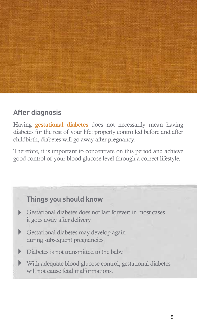

#### **After diagnosis**

Having gestational diabetes does not necessarily mean having diabetes for the rest of your life: properly controlled before and after childbirth, diabetes will go away after pregnancy.

Therefore, it is important to concentrate on this period and achieve good control of your blood glucose level through a correct lifestyle.

### **Things you should know**

- Gestational diabetes does not last forever: in most cases it goes away after delivery.
- Gestational diabetes may develop again during subsequent pregnancies.
- Diabetes is not transmitted to the baby.
- With adequate blood glucose control, gestational diabetes will not cause fetal malformations.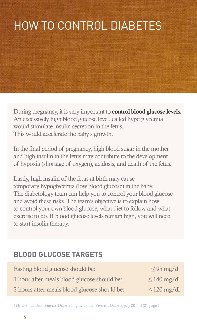# HOW TO CONTROL DIABETES

During pregnancy, it is very important to control blood glucose levels. An excessively high blood glucose level, called hyperglycemia, would stimulate insulin secretion in the fetus. This would accelerate the baby's growth.

In the final period of pregnancy, high blood sugar in the mother and high insulin in the fetus may contribute to the development of hypoxia (shortage of oxygen), acidosis, and death of the fetus.

Lastly, high insulin of the fetus at birth may cause temporary hypoglycemia (low blood glucose) in the baby. The diabetology team can help you to control your blood glucose and avoid these risks. The team's objective is to explain how to control your own blood glucose, what diet to follow and what exercise to do. If blood glucose levels remain high, you will need to start insulin therapy.

#### **BLOOD GLUCOSE TARGETS**

| Fasting blood glucose should be:             | $\leq$ 95 mg/dl  |
|----------------------------------------------|------------------|
| 1 hour after meals blood glucose should be:  | $\leq 140$ mg/dl |
| 2 hours after meals blood glucose should be: | $\leq$ 120 mg/dl |

1) E.Orsi, D. Bruttomesso, Diabete in gravidanza, Vivere il Diabete, july 2011 4 (2), page 1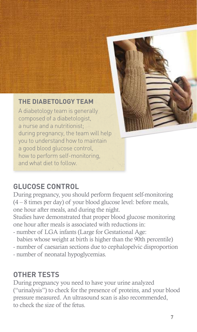

#### **THE DIABETOLOGY TEAM**

A diabetology team is generally composed of a diabetologist, a nurse and a nutritionist. during pregnancy, the team will help you to understand how to maintain a good blood glucose control, how to perform self-monitoring, and what diet to follow.

### **GLUCOSE CONTROL**

During pregnancy, you should perform frequent self-monitoring (4 – 8 times per day) of your blood glucose level: before meals, one hour after meals, and during the night.

Studies have demonstrated that proper blood glucose monitoring one hour after meals is associated with reductions in:

- number of LGA infants (Large for Gestational Age:

babies whose weight at birth is higher than the 90th percentile)

- number of caesarian sections due to cephalopelvic disproportion
- number of neonatal hypoglycemias.

#### **OTHER TESTS**

During pregnancy you need to have your urine analyzed ("urinalysis") to check for the presence of proteins, and your blood pressure measured. An ultrasound scan is also recommended, to check the size of the fetus.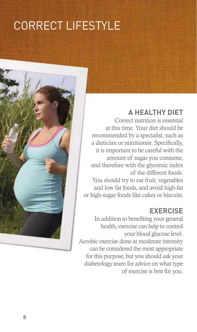# CORRECT LIFESTYLE

#### **A HEALTHY DIET**

Correct nutrition is essential at this time. Your diet should be recommended by a specialist, such as a dietician or nutritionist. Specifically, it is important to be careful with the amount of sugar you consume, and therefore with the glycemic index of the different foods. You should try to eat fruit, vegetables and low fat foods, and avoid high-fat or high-sugar foods like cakes or biscuits.

#### **EXERCISE**

In addition to benefiting your general health, exercise can help to control your blood glucose level. Aerobic exercise done at moderate intensity can be considered the most appropriate for this purpose, but you should ask your diabetology team for advice on what type of exercise is best for you.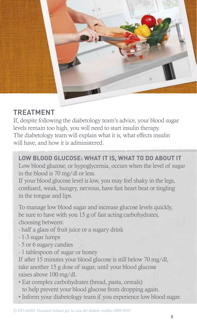

### **TREATMENT**

If, despite following the diabetology team's advice, your blood sugar levels remain too high, you will need to start insulin therapy. The diabetology team will explain what it is, what effects insulin will have, and how it is administered.

#### **LOW BLOOD GLUCOSE: WHAT IT IS, WHAT TO DO ABOUT IT**

Low blood glucose, or hypoglycemia, occurs when the level of sugar in the blood is 70 mg/dl or less.

If your blood glucose level is low, you may feel shaky in the legs, confused, weak, hungry, nervous, have fast heart beat or tingling in the tongue and lips.

To manage low blood sugar and increase glucose levels quickly, be sure to have with you 15 g of fast acting carbohydrates, choosing between:

- half a glass of fruit juice or a sugary drink
- 1-3 sugar lumps
- 5 or 6 sugary candies
- 1 tablespoon of sugar or honey

If after 15 minutes your blood glucose is still below 70 mg/dl, take another 15 g dose of sugar, until your blood glucose raises above 100 mg/dl.

- Eat complex carbohydrates (bread, pasta, cereals) to help prevent your blood glucose from dropping again.
- Inform your diabetology team if you experience low blood sugar.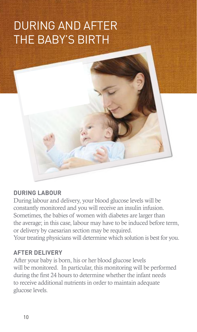# DURING AND AFTER THE BABY'S BIRTH



#### **DURING LABOUR**

During labour and delivery, your blood glucose levels will be constantly monitored and you will receive an insulin infusion. Sometimes, the babies of women with diabetes are larger than the average; in this case, labour may have to be induced before term, or delivery by caesarian section may be required. Your treating physicians will determine which solution is best for you.

#### **AFTER DELIVERY**

After your baby is born, his or her blood glucose levels will be monitored. In particular, this monitoring will be performed during the first 24 hours to determine whether the infant needs to receive additional nutrients in order to maintain adequate glucose levels.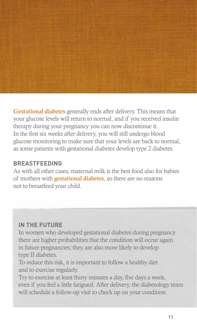

Gestational diabetes generally ends after delivery. This means that your glucose levels will return to normal, and if you received insulin therapy during your pregnancy you can now discontinue it. In the first six weeks after delivery, you will still undergo blood glucose monitoring to make sure that your levels are back to normal, as some patients with gestational diabetes develop type 2 diabetes.

#### **BREASTFEEDING**

As with all other cases, maternal milk is the best food also for babies of mothers with gestational diabetes, so there are no reasons not to breastfeed your child.

#### **IN THE FUTURE**

In women who developed gestational diabetes during pregnancy there are higher probabilities that the condition will occur again in future pregnancies; they are also more likely to develop type II diabetes.

To reduce this risk, it is important to follow a healthy diet and to exercise regularly.

Try to exercise at least thirty minutes a day, five days a week, even if you feel a little fatigued. After delivery, the diabetology team will schedule a follow-up visit to check up on your condition.